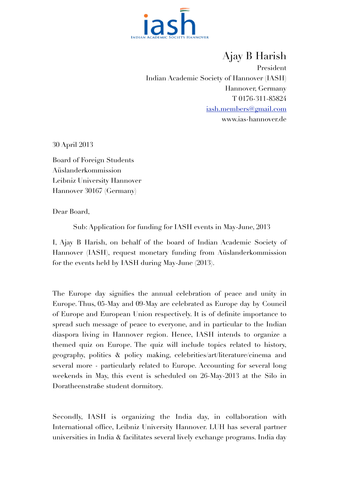

Ajay B Harish President Indian Academic Society of Hannover (IASH) Hannover, Germany T 0176-311-85824 [iash.members@gmail.com](mailto:iash.members@gmail.com) www.ias-hannover.de

30 April 2013

Board of Foreign Students Aüslanderkommission Leibniz University Hannover Hannover 30167 (Germany)

Dear Board,

Sub: Application for funding for IASH events in May-June, 2013

I, Ajay B Harish, on behalf of the board of Indian Academic Society of Hannover (IASH), request monetary funding from Aüslanderkommission for the events held by IASH during May-June (2013).

The Europe day signifies the annual celebration of peace and unity in Europe. Thus, 05-May and 09-May are celebrated as Europe day by Council of Europe and European Union respectively. It is of definite importance to spread such message of peace to everyone, and in particular to the Indian diaspora living in Hannover region. Hence, IASH intends to organize a themed quiz on Europe. The quiz will include topics related to history, geography, politics & policy making, celebrities/art/literature/cinema and several more - particularly related to Europe. Accounting for several long weekends in May, this event is scheduled on 26-May-2013 at the Silo in Doratheenstraße student dormitory.

Secondly, IASH is organizing the India day, in collaboration with International office, Leibniz University Hannover. LUH has several partner universities in India & facilitates several lively exchange programs. India day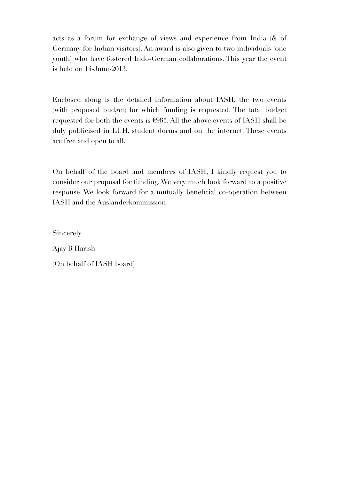acts as a forum for exchange of views and experience from India (& of Germany for Indian visitors). An award is also given to two individuals (one youth) who have fostered Indo-German collaborations. This year the event is held on 14-June-2013.

Enclosed along is the detailed information about IASH, the two events (with proposed budget) for which funding is requested. The total budget requested for both the events is €985. All the above events of IASH shall be duly publicised in LUH, student dorms and on the internet. These events are free and open to all.

On behalf of the board and members of IASH, I kindly request you to consider our proposal for funding. We very much look forward to a positive response. We look forward for a mutually beneficial co-operation between IASH and the Aüslanderkommission.

Sincerely

Ajay B Harish

(On behalf of IASH board)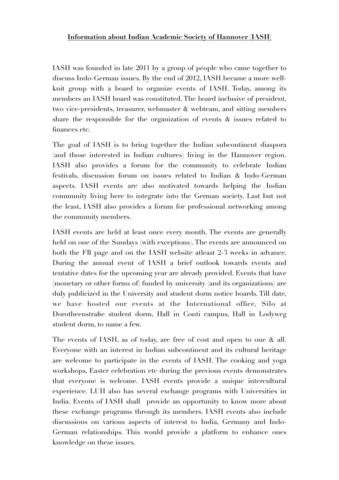IASH was founded in late 2011 by a group of people who came together to discuss Indo-German issues. By the end of 2012, IASH became a more wellknit group with a board to organize events of IASH. Today, among its members an IASH board was constituted. The board inclusive of president, two vice-presidents, treasurer, webmaster & webteam, and sitting members share the responsible for the organization of events & issues related to finances etc.

The goal of IASH is to bring together the Indian subcontinent diaspora (and those interested in Indian cultures) living in the Hannover region. IASH also provides a forum for the community to celebrate Indian festivals, discussion forum on issues related to Indian & Indo-German aspects. IASH events are also motivated towards helping the Indian community living here to integrate into the German society. Last but not the least, IASH also provides a forum for professional networking among the community members.

IASH events are held at least once every month. The events are generally held on one of the Sundays (with exceptions). The events are announced on both the FB page and on the IASH website atleast 2-3 weeks in advance. During the annual event of IASH a brief outlook towards events and tentative dates for the upcoming year are already provided. Events that have (monetary or other forms of) funded by university (and its organizations) are duly publicized in the University and student dorm notice boards. Till date, we have hosted our events at the International office, Silo at Dorotheenstraße student dorm, Hall in Conti campus, Hall in Lodyweg student dorm, to name a few.

The events of IASH, as of today, are free of cost and open to one & all. Everyone with an interest in Indian subcontinent and its cultural heritage are welcome to participate in the events of IASH. The cooking and yoga workshops, Easter celebration etc during the previous events demonstrates that everyone is welcome. IASH events provide a unique intercultural experience. LUH also has several exchange programs with Universities in India. Events of IASH shall provide an opportunity to know more about these exchange programs through its members. IASH events also include discussions on various aspects of interest to India, Germany and Indo-German relationships. This would provide a platform to enhance ones knowledge on these issues.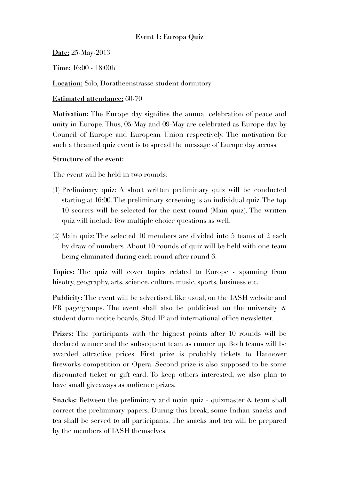## **Event 1: Europa Quiz**

**Date:** 25-May-2013

**Time:** 16:00 - 18:00h

**Location:** Silo, Doratheenstrasse student dormitory

#### **Estimated attendance:** 60-70

**Motivation:** The Europe day signifies the annual celebration of peace and unity in Europe. Thus, 05-May and 09-May are celebrated as Europe day by Council of Europe and European Union respectively. The motivation for such a theamed quiz event is to spread the message of Europe day across.

#### **Structure of the event:**

The event will be held in two rounds:

- (1) Preliminary quiz: A short written preliminary quiz will be conducted starting at 16:00. The preliminary screening is an individual quiz. The top 10 scorers will be selected for the next round (Main quiz). The written quiz will include few multiple choice questions as well.
- (2) Main quiz: The selected 10 members are divided into 5 teams of 2 each by draw of numbers. About 10 rounds of quiz will be held with one team being eliminated during each round after round 6.

**Topics:** The quiz will cover topics related to Europe - spanning from hisotry, geography, arts, science, culture, music, sports, business etc.

**Publicity:** The event will be advertised, like usual, on the IASH website and FB page/groups. The event shall also be publicised on the university & student dorm notice boards, Stud IP and international office newsletter.

Prizes: The participants with the highest points after 10 rounds will be declared winner and the subsequent team as runner up. Both teams will be awarded attractive prices. First prize is probably tickets to Hannover fireworks competition or Opera. Second prize is also supposed to be some discounted ticket or gift card. To keep others interested, we also plan to have small giveaways as audience prizes.

**Snacks:** Between the preliminary and main quiz - quizmaster & team shall correct the preliminary papers. During this break, some Indian snacks and tea shall be served to all participants. The snacks and tea will be prepared by the members of IASH themselves.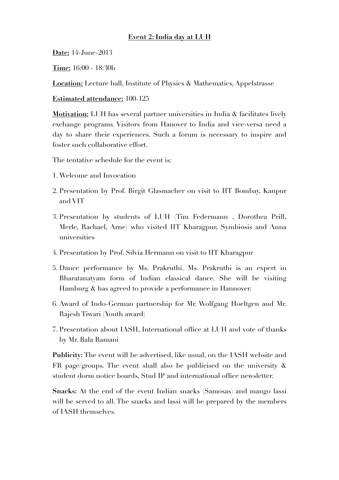### **Event 2: India day at LUH**

**Date:** 14-June-2013

**Time:** 16:00 - 18:30h

**Location:** Lecture hall, Institute of Physics & Mathematics, Appelstrasse

**Estimated attendance:** 100-125

**Motivation:** LUH has several partner universities in India & facilitates lively exchange programs. Visitors from Hanover to India and vice-versa need a day to share their experiences. Such a forum is necessary to inspire and foster such collaborative effort.

The tentative schedule for the event is:

- 1. Welcome and Invocation
- 2. Presentation by Prof. Birgit Glasmacher on visit to IIT Bombay, Kanpur and VIT
- 3. Presentation by students of LUH (Tim Federmann , Dorothea Prill, Merle, Rachael, Arne) who visited IIT Kharagpur, Symbiosis and Anna universities
- 4. Presentation by Prof. Silvia Hermann on visit to IIT Kharagpur
- 5. Dance performance by Ms. Prakruthi. Ms. Prakruthi is an expert in Bharatanatyam form of Indian classical dance. She will be visiting Hamburg & has agreed to provide a performance in Hannover.
- 6. Award of Indo-German partnership for Mr. Wolfgang Hoeltgen and Mr. Rajesh Tiwari (Youth award)
- 7. Presentation about IASH, International office at LUH and vote of thanks by Mr. Bala Ramani

**Publicity:** The event will be advertised, like usual, on the IASH website and FB page/groups. The event shall also be publicised on the university  $\&$ student dorm notice boards, Stud IP and international office newsletter.

**Snacks:** At the end of the event Indian snacks (Samosas) and mango lassi will be served to all. The snacks and lassi will be prepared by the members of IASH themselves.